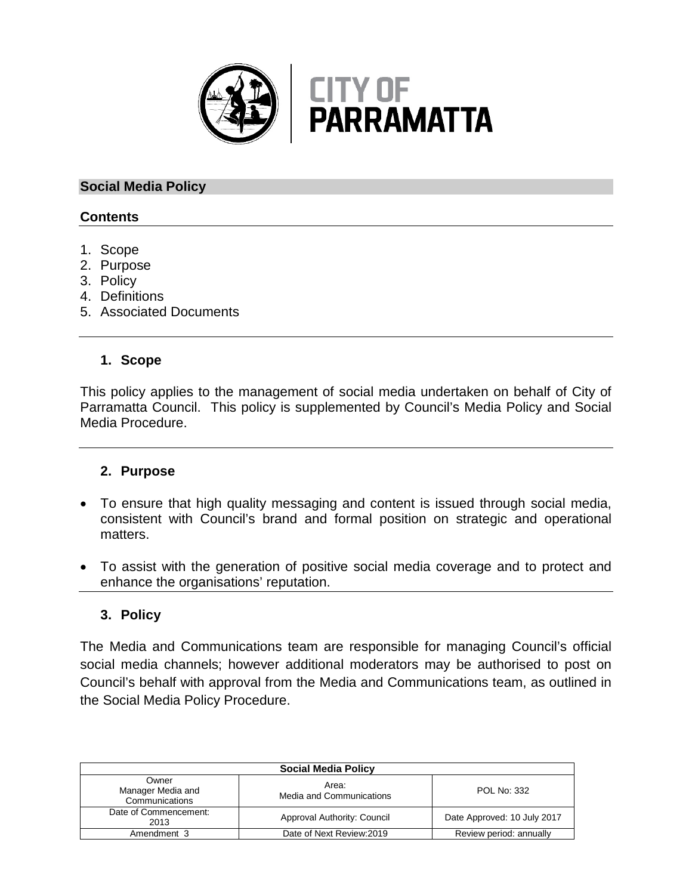

# **Social Media Policy**

# **Contents**

- 1. Scope
- 2. Purpose
- 3. Policy
- 4. Definitions
- 5. Associated Documents

### **1. Scope**

This policy applies to the management of social media undertaken on behalf of City of Parramatta Council. This policy is supplemented by Council's Media Policy and Social Media Procedure.

#### **2. Purpose**

- To ensure that high quality messaging and content is issued through social media, consistent with Council's brand and formal position on strategic and operational matters.
- To assist with the generation of positive social media coverage and to protect and enhance the organisations' reputation.

# **3. Policy**

The Media and Communications team are responsible for managing Council's official social media channels; however additional moderators may be authorised to post on Council's behalf with approval from the Media and Communications team, as outlined in the Social Media Policy Procedure.

| <b>Social Media Policy</b>                   |                                   |                             |  |
|----------------------------------------------|-----------------------------------|-----------------------------|--|
| Owner<br>Manager Media and<br>Communications | Area:<br>Media and Communications | <b>POL No: 332</b>          |  |
| Date of Commencement:<br>2013                | Approval Authority: Council       | Date Approved: 10 July 2017 |  |
| Amendment 3                                  | Date of Next Review: 2019         | Review period: annually     |  |